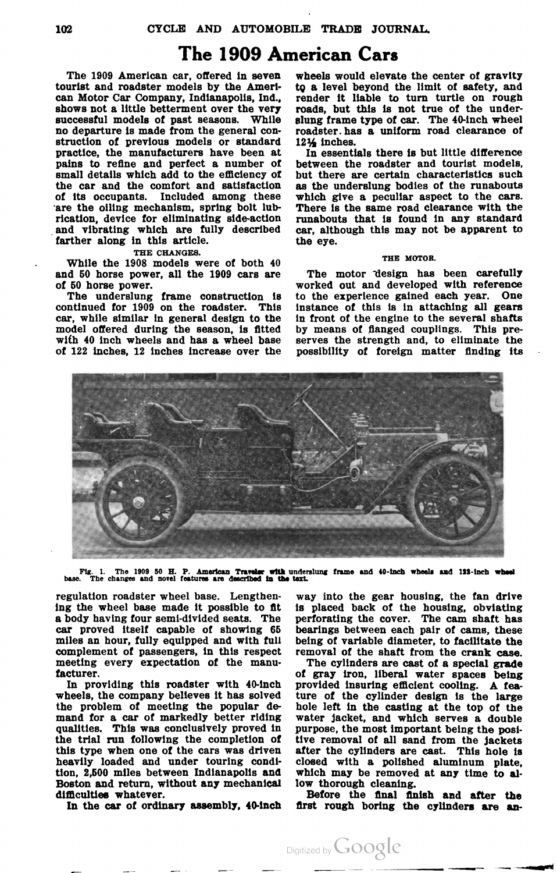# The 1909 American Cars

The 1909 American car, offered in seven tourist and roadster models by the Ameri can Motor Car Company, Indianapolis, Ind., shows not <sup>a</sup> little betterment over the very successful models of past seasons. While no departure is made from the general con struction of previous models or standard practice, the manufacturers have been at pains to refine and perfect <sup>a</sup> number of the car and the comfort and satisfaction of its occupants. Included among these are the oiling mechanism, spring bolt lubrication, device for eliminating side-action and vibrating which are fully described farther along in this article.

### THE CHANGES.

While the 1908 models were of both 40 and <sup>50</sup> horse power, all the <sup>1909</sup> cars are of <sup>50</sup> horse power .

The underslung frame construction is continued for 1909 on the roadster. This car, while similar in general design to the model offered during the season, is fitted with 40 inch wheels and has <sup>a</sup> wheel base of 122 inches, 12 inches increase over the

wheels would elevate the center of gravity to <sup>a</sup> level beyond the limit of safety, and render it liable to turn turtle on rough roads, but this is not true of the under slung frame type of car. The 40-inch wheel roadster. has <sup>a</sup> uniform road clearance of

 $12\frac{1}{2}$  inches.<br>In essentials there is but little difference between the roadster and tourist models, but there are certain characteristics such as the underslung bodies of the runabouts which give <sup>a</sup> peculiar aspect to the cars. There is the same road clearance with the runabouts that is found in any standard car, although this may not be apparent to the eye.

### THE MOTOR.

The motor design has been carefully worked out and developed with reference<br>to the experience gained each year. One instance of this is in attaching all gears in front of the engine to the several shafts by means of flanged couplings. This pre serves the strength and, to eliminate the possibility of foreign matter finding its



Fig. 1. The 1909 50 H. P. American Traveler with underslung frame and 40-inch wheels and 133-inch wheel . The changes and novel features are described in the text.

a body having four semi-divided seats. The perforating the cover. The cam shaft has car proved itself capable of showing 65 bearings between each pair of cams, these miles an hour, fully equipped and with full being of variable diameter, to facilitate the complement of passengers, in this respect removal of the shaft from the crank case.<br>meeting every expectation of the manu-<br>The cylin

the problem of meeting the popular de-hole left in the casting at the top of the mand for a car of markedly better riding water jacket, and which serves a double qualities. This was conclusively proved in purpose, the most the trial run following the completion of tive removal of all sand from the jackets<br>this type when one of the cars was driven after the cylinders are cast. This hole is<br>heavily loaded and under touring condi-<br>tion, 2,500 m tion, 2,500 miles between Indianapolis and which may be removed at any time to al-<br>Boston and return, without any mechanical low thorough cleaning.<br>difficulties whatever. Before the final finish and after the<br>In the car of

regulation roadster wheel base. Lengthen- way into the gear housing, the fan drive ing the wheel base made it possible to fit is placed back of the housing, obviating

facturer. of gray iron, liberal water spaces being<br>In providing this roadster with 40-inch provided insuring efficient cooling. A fea-<br>wheels, the company believes it has solved ture of the cylinder design is the large<br>the

first rough boring the cylinders are an-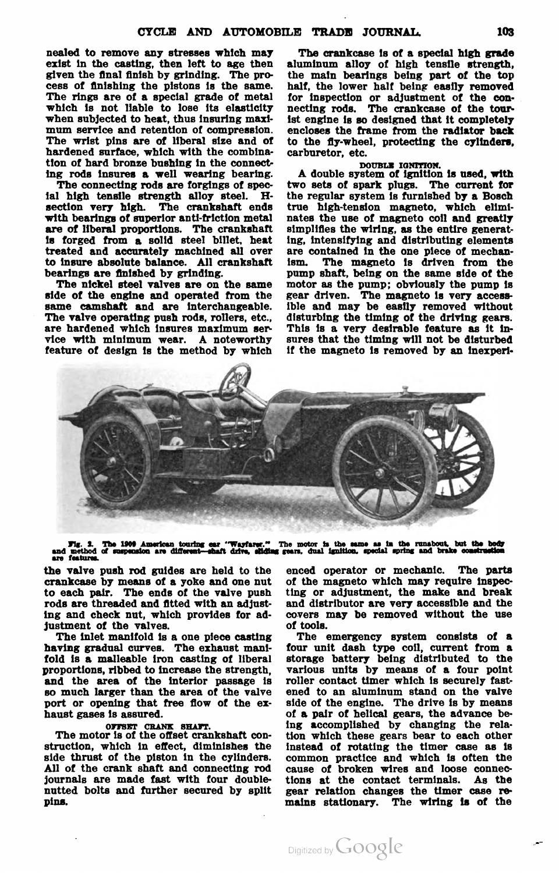nealed to remove any stresses which may The crankcase is of <sup>a</sup> special high grade exist in the casting, then left to age then aluminum alloy of high tensile strength, given the final finish by grinding. The pro-<br>cess of finishing the pistons is the same. half, the lower half being easily removed cess of finishing the pistons is the same.<br>The rings are of a special grade of metal The rings are of a special grade of metal for inspection or adjustment of the con-<br>which is not liable to lose its elasticity necting rods. The crankcase of the tourwhich is not liable to lose its elasticity necting rods. The crankcase of the tour-<br>when subjected to heat, thus insuring maxi- ist engine is so designed that it completely when subjected to heat, thus insuring maxi- ist engine is so designed that it completely mum service and retention of compression. encloses the frame from the radiator back The wrist pins are of liberal size and of to the fly-wheel, protecting the cylinders, hardened surface, which with the combina- carburetor, etc. tion of hard bronze bushing in the connect-<br>
ing rods insures a well wearing bearing. A double system of ignition is used, with

The valve operating push rods, rollers, etc., disturbing the timing of the driving gears.<br>are hardened which insures maximum ser-<br>vice with minimum wear. A noteworthy sures that the timing will not be disturbed<br>feature of

ing rods insures a well wearing bearing. A double system of ignition is used, with<br>The connecting rods are forgings of spec-<br>two sets of spark plugs. The current for<br>fall high tensile strength alloy steel. H-<br>the regular s to insure absolute balance. All crankshaft ism. The magneto is driven from the bearings are finished by grinding. pump shaft, being on the same side of the The nickel steel valves are on the same motor as the pump; obvious



Fig. 2. The 1909 American touring ear "Wayfarer." The motor is the same as in the runabout, but the body<br>and method of suspension are different—shaft drive, silding gears, dual ignition, special spring and brake constructi

the valve push rod guides are held to the enced operator or mechanic. The parts crankcase by means of a yoke and one nut of the magneto which may require inspeccrankcase by means of a yoke and one nut of the magneto which may require inspecto each pair. The ends of the valve push ting or adjustment, the make and break rods are threaded and fitted with an adjust- and distributor a ing and check nut, which provides for ad- covers may be removed without the use justment of the valves.<br>The inlet manifold is a one piece casting

having gradual curves. The exhaust mani- four unit dash type coil, current from a fold is a malleable iron casting of liberal storage battery being distributed to the proportions, ribbed to increase the strength, various units by means of a four point and the area of the interior passage is roller contact timer which is securely fastso much larger than the area of the valve ened to an aluminum stand on the valve

The motor is of the offset crankshaft construction, which in effect, diminishes the instead of rotating the timer case as is side thrust of the piston in the cylinders. common practice and which is often the side thrust of the piston in the cylinders. common practice and which is often the All of the crank shaft and connecting rod cause of broken wires and loose connec-All of the crank shaft and connecting rod cause of broken wires and loose connec journals are made fast with four double tions at the contact terminals . As the nutted bolts and further secured by split gear relation changes the timer case re pins. mains stationary . The wiring 18 of the

of tools.

The emergency system consists of a storage battery being distributed to the port or opening that free flow of the ex-<br>haust gases is assured.  $\qquad \qquad$  of a pair of helical gears, the advance beof a pair of helical gears, the advance be-OFFSET CRANK SHAFT. ing accomplished by changing the rela .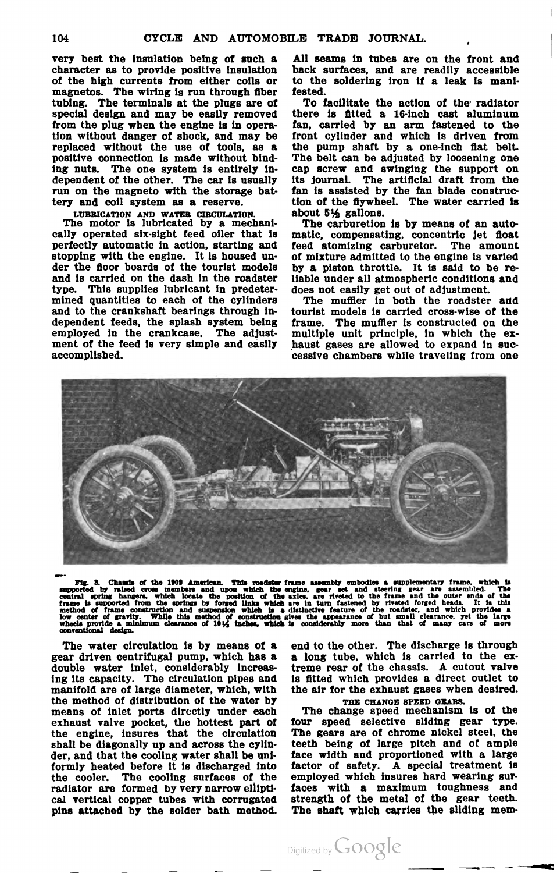character as to provide positive insulation back surfaces, and are readily accessible of the high currents from either coils or to the soldering iron if a leak is mani-magnetos. The wiring is run through fiber fested. tubing. The terminals at the plugs are of To facilitate the action of the radiator special design and may be easily removed there is fitted a 16-inch cast aluminum special design and may be easily removed from the plug when the engine is in operation without danger of shock , and may be front cylinder and which is driven from replaced without the use of tools, as a the pump shaft by a one-inch flat belt. positive connection is made without bind- The belt can be adjusted by loosening one ing nuts. The one system is entirely in cap screw and swinging the support on dependent of the other. The car is usually its journal. The artificial draft from the dependent of the other. The car is usually its journal. The artificial draft from the run on the magneto with the storage bat-<br>tan is assisted by the fan blade constructery and coil system as a reserve.<br>tion of the flywhee

cally operated six-sight feed oiler that is matic, compensating, concentric jet float<br>perfectly automatic in action, starting and feed atomizing carburetor. The amount perfectly automatic in action, starting and stopping with the engine. It is housed un- of mixture admitted to the engine is varied der the floor boards of the tourist models by a piston throttle. It is said to be reand is carried on the dash in the roadster liable under all atmospheric conditions and type. This supplies lubricant in predeter- does not easily get out of adjustment.<br>mined quantities to each of the cylinders – The muffler in both the roadster and mined quantities to each of the cylinders and to the crankshaft bearings through in tourist models is carried cross-wise of the dependent feeds, the splash system being frame. The muffler is constructed on the employed in the crankcase. The adjust- multiple unit principle, in which the ex-<br>ment of the feed is very simple and easily haust gases are allowed to expand in sucment of the feed is very simple and easily haust gases are allowed to expand in suc-<br>accomplished. cessive chambers while traveling from one

very best the insulation being of such <sup>a</sup> All seams in tubes are on the front and

fan, carried by an arm fastened to the tion of the flywheel. The water carried is LUBRICATION AND WATER CIRCULATION. about 5½ gallons.<br>The motor is lubricated by a mechani- The carburetion is by means of an auto-



Fig . 3. Chassis of the <sup>1909</sup> American. This roadster frame assembly embodies & supplementary frame, which is supported by raised cross members and upon which the engine, gear set and steering gear are assembled . Tho central spring hangers, which locate the position of the axles, are riveted to the frame and the outer ends of the<br>frame is supported from the springs by forged links which are in turn fastened by riveted forged heads. It low center of gravity. While this method of construction gives the appearance of but small clearance, yet the large<br>wheels provide a minimum clearance of 101% inches, which is considerably more than that of many cars of mo

gear driven centrifugal pump, which has a a long tube, which is carried to the ex-<br>double water inlet, considerably increas- treme rear of the chassis. A cutout valve ing its capacity. The circulation pipes and is fitted which provides <sup>a</sup> direct outlet to the method of distribution of the water by THE CHANGE SPEED GEARS. means of inlet ports directly under each The change speed mechanism is of the exhaust valve pocket, the hottest part of four speed selective sliding gear type.<br>the engine, insures that the circulation The gears are of chrome nickel steel, the shall be diagonally up and across the cylin- teeth being of large pitch and of ample der, and that the cooling water shall be uni. face width and proportioned with <sup>a</sup> large formly heated before it is discharged into factor of safety . <sup>A</sup> special treatment is the cooler. The cooling surfaces of the employed which insures hard wearing sur radiator are formed by very narrow ellipti- faces with a maximum toughness and cal vertical copper tubes with corrugated strength of the metal of the gear teeth. pins attached by the solder bath method. The shaft which carries the sliding mem-

The water circulation is by means of a end to the other. The discharge is through the air for the exhaust gases when desired.

The gears are of chrome nickel steel, the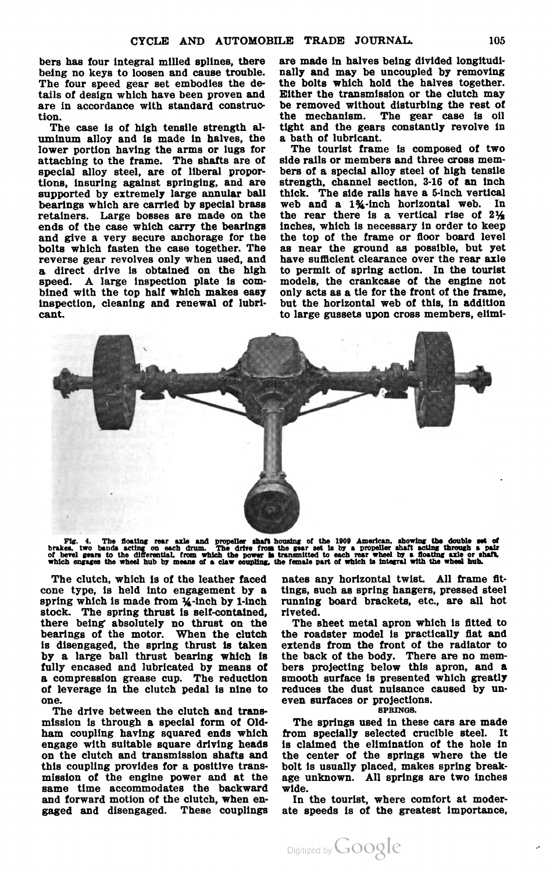bers has four integral milled splines, there are made in halves being divided longitudibeing no keys to loosen and cause trouble. nally and may be uncoupled by removing The four speed gear set embodies the de- the bolts which hold the halves together. tails of design which have been proven and Either the transmission or the clutch may are in accordance with standard construc be removed without disturbing the rest of

The case is of high tensile strength al-<br>uminum alloy and is made in halves, the a bath of lubricant. lower portion having the arms or lugs for The tourist frame is composed of two attaching to the frame. The shafts are of side rails or members and three cross mem special alloy steel, are of liberal propor- bers of a special alloy steel of high tensile tions, insuring against springing, and are strength, channel section, 3-16 of an inch supported by extremely large annular ball thick. The side rails have a 5-inch vertical bearings which are carried by special brass web retainers. Large bosses are made on the the rear there is a vertical rise of  $2\frac{1}{2}$ ends of the case which carry the bearings inches, which is necessary in order to keep and give a very secure anchorage for the the top of the frame or floor board level bolts which fasten the case together. The as near the bolts which fasten the case together. The as near the ground as possible, but yet reverse gear revolves only when used, and have sufficient clearance over the rear axle <sup>a</sup> direct drive is obtained on the high to permit of spring action . In the tourist speed. A large inspection plate is com- models, the crankcase of the engine not bined with the top half which makes easy only acts as a tie for the front of the frame. bined with the top half which makes easy only acts as a tie for the front of the frame, inspection, cleaning and renewal of lubri- but the horizontal web of this, in addition inspection, cleaning and renewal of lubricant. to large gussets upon cross members, elimi

tion. the mechanism. The gear case is oil<br>The case is of high tensile strength al- tight and the gears constantly revolve in



Fig. 4. The floating rear axle and propeller shaft housing of the 1909 American, showing the double set of brakes, two bands acting on each drum. The drive from the gears set is by a propeller shaft cating through a pair o

The clutch, which is of the leather faced cone type, is held into engagement by <sup>a</sup> spring which is made from  $\frac{1}{4}$ -inch by 1-inch stock. The spring thrust is self-contained, there being absolutely no thrust on the bearings of the motor. When the clutch is disengaged, the spring thrust is taken<br>by a large ball thrust bearing which is fully encased and lubricated by means of <sup>a</sup> compression grease cup. The reduction of leverage in the clutch pedal is nine to one .

The drive between the clutch and trans mission is through <sup>a</sup> special form of old ham coupling having squared ends which engage with suitable square driving heads on the clutch and transmission shafts and this coupling provides for a positive transmission of the engine power and at the same time accommodates the backward and forward motion of the clutch, when en-<br>gaged and disengaged. These couplings

nates any horizontal twist. All frame fit tings, such as spring hangers, pressed steel running board brackets, etc., are all hot riveted.

The sheet metal apron which is fitted to the roadster model is practically fiat and extends from the front of the radiator to the back of the body. There are no members projecting below this apron, and a smooth surface is presented which greatly reduces the dust nuisance caused by uneven surfaces or projections.

SPRINGS.

The springs used in these cars are made from specially selected crucible steel. It is claimed the elimination of the hole in the center of the springs where the tie bolt is usually placed, makes spring break age unknown. All springs are two inches wide.

In the tourist, where comfort at moder ate speeds is of the greatest importance,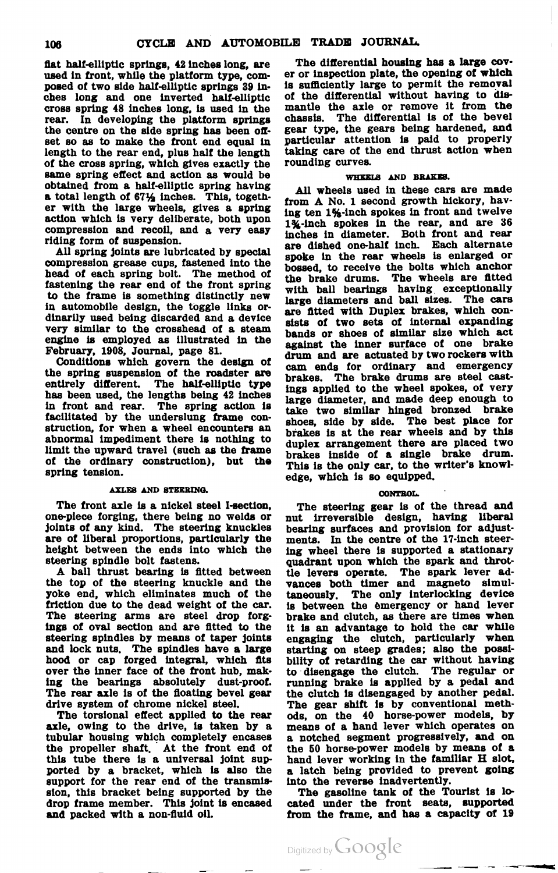posed of two side half-elliptic springs 39 in- is sufficiently large to permit the removal ches long and one inverted half-elliptic of the differential without having to discross spring 48 inches long, is used in the mantle the axle or remove it from the cross spring 48 inches long, is used in the mantle rear. In developing the platform springs chassis. the centre on the side spring has been ofr. gear type, the gears being hardened, and set so as to make the front end equal in particular attention is paid to properly set so as to make the front end equal in particular attention is paid to properly length to the rear end, plus half the length taking care of the end thrust action when of the cross spring, which gives exactly the rounding curves. same spring effect and action as would be WHEELS AND BRAKES. obtained from a half-elliptic spring having All wheels used in these cars are made<br>a total length of 671/2 inches. This, togeth-<br>from A No. 1 second growth hickory, hav-

herad of each spring bolts which special spoke in the rear wheels is enlarged or compression grease cups, fastened into the bossed, to receive the bolts which anchor that the frame is something the front spring internal ba in automobile design, the toggle links or-<br>dinarily used being discarded and a device. unarily used being discarded and a device<br>very similar to the crosshead of a steam bands or shoes of similar size which act<br>engine is employed as illustrated in the conjust the inner surface of one brake very similar to the crosshead of a steam<br>engine is employed as illustrated in the bands or shoes of similar size which act<br>February, 1908, Journal, page 81.<br> $\frac{1}{2}$  are actuated by two rockers with

facilitated by the underslung frame con-<br>struction, for when a wheel encounters an shoes, side by side. The best place for struction, for when a wheel encounters and brakes is at the rear wheels and by this abnormal impediment there is nothing to duplex arrangement there are placed two limit the upward travel (such as the frame abnormal impediment there is nothing to duplex arrangement there are placed two<br>limit the upward travel (such as the frame duplex inside of a single brake drum,<br>of the ordinary construction), but the mais is the only can

## AXLES AND STEERING.

The front axle is a nickel steel I-section, The steering gear is of the thread and one-piece forging, there being no welds or nut irreversible design, having liberal one-piece forging, there being no welds or nut irreversible design, having liberal joints of any kind. The steering knuckles bearing surfaces and provision for adjustare of liberal proportions, particularly the height between the ends into which the

A ball thrust bearing is fitted between the levers operate. The spark lever ad-<br>the top of the steering knuckle and the vances both timer and magneto simul-<br>yoke end, which eliminates much of the car. is between the emerge The rear axle is of the floating bevel gear the clutch is disengaged by another pedal.<br>drive system of chrome nickel steel. The gear shift is by conventional meth-

axle, owing to the drive, is taken by a means of a hand lever which operates on tubular housing which completely encases a notched segment progressively, and on the propeller shaft. At the front end of the 50 horse-power models by means of a this tube there is a universal joint sup-<br>hand lever working in the familiar H slot, this tube there is a universal joint supported by a bracket, which is also the ported by <sup>a</sup> bracket, which is also the <sup>a</sup> latch being provided to prevent going support for the rear end of the transmis into the reverse inadvertently. sion, this bracket being supported by the The gasoline tank of the Tourist is lodrop frame member. This joint is encased cated under the front seats, supported and packed with a non -fluid oil. from the frame, and has <sup>a</sup> capacity of 19

flat half-elliptic springs, 42 inches long, are The differential housing has a large cov-<br>used in front, while the platform type, com- er or inspection plate, the opening of which er or inspection plate, the opening of which The differential is of the bevel

a total length of  $67\frac{1}{2}$  inches. This, togeth-<br>
er with the large wheels, gives a spring<br>
action which is very deliberate, both upon<br>
action which is very deliberate, both upon<br>  $1\frac{2}{3}$ -inch spokes in front and tw with ball bearings having exceptionally large diameters and ball sizes. The cars are fitted with Duplex brakes, which con-February, 1905, Journal, page 31.<br>
Conditions which govern the design of<br>
the spring suspension of the roads for ordinary and emergency<br>
the spring suspension of the roads for ordinary and emergency<br>
entirely different. Th large diameter, and made deep enough to take two similar hinged bronzed brake he inside of a single brake drum.<br>
of the ordinary construction), but the This is the only car, to the writer's knowl-<br>
spring tension. edge, which is so equipped.

## CONTROL.

bearing surfaces and provision for adjust-<br>ments. In the centre of the 17-inch steerheight between the ends into which the ing wheel there is supported a stationary steering spindle bolt fastens. quadrant upon which the spark and throtive system of chrome nickel steel. The gear shift is by conventional meth-<br>The torsional effect applied to the rear ods, on the 40 horse-power models, by